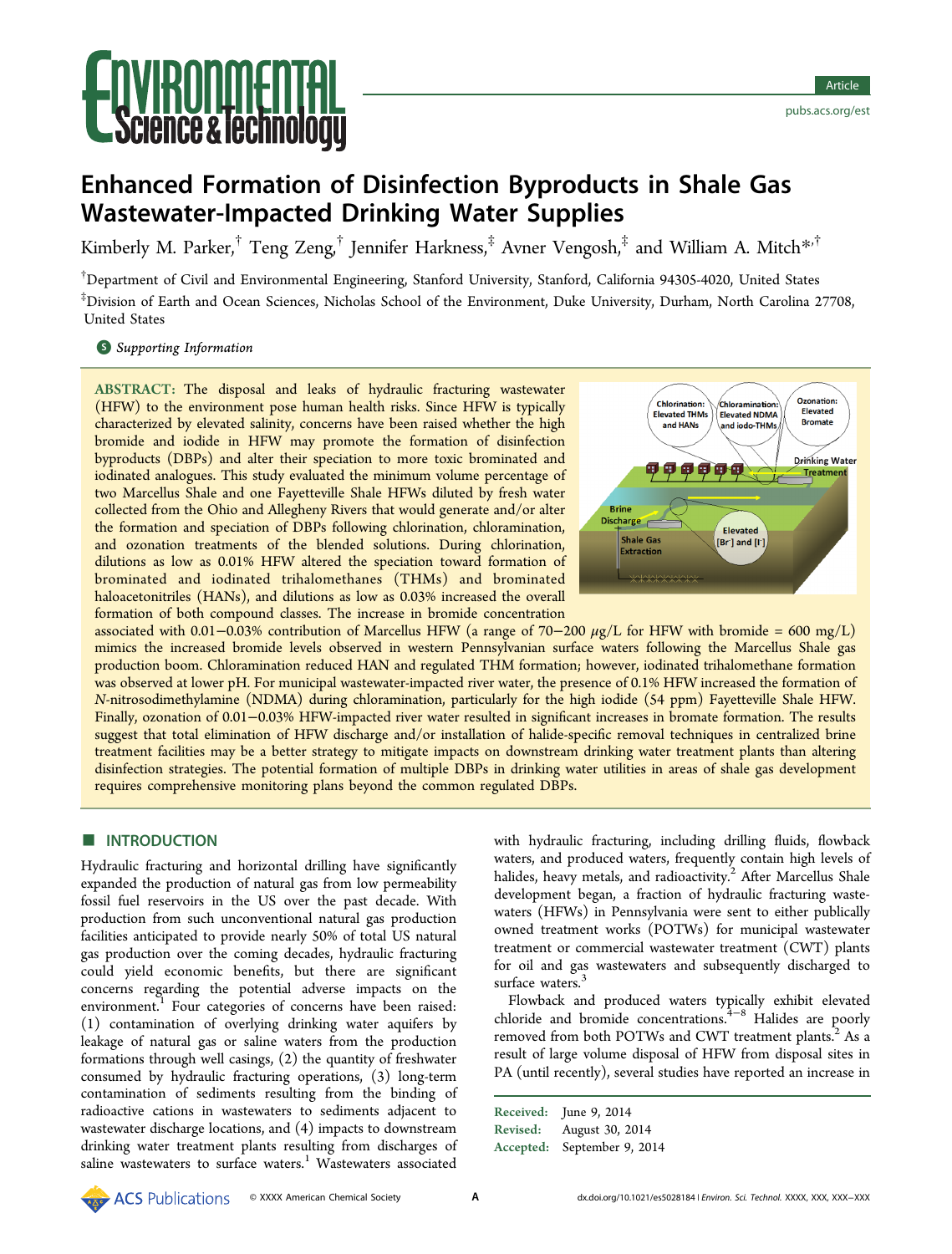# ence & lechnology

# Enhanced Formation of Disinfection Byproducts in Shale Gas Wastewater-Impacted Drinking Water Supplies

Kimberly M. Parker,<sup>†</sup> Teng Zeng,<sup>†</sup> Jennifer Harkness,<sup>‡</sup> Avner Vengosh,<sup>‡</sup> and William A. Mitch<sup>[\\*](#page-6-0),†</sup>

† Department of Civil and Environmental Engineering, Stanford University, Stanford, California 94305-4020, United States ‡ Division of Earth and Ocean Sciences, Nicholas School of the Environment, Duke University, Durham, North Carolina 27708, United States

**S** [Supporting Information](#page-6-0)

ABSTRACT: The disposal and leaks of hydraulic fracturing wastewater (HFW) to the environment pose human health risks. Since HFW is typically characterized by elevated salinity, concerns have been raised whether the high bromide and iodide in HFW may promote the formation of disinfection byproducts (DBPs) and alter their speciation to more toxic brominated and iodinated analogues. This study evaluated the minimum volume percentage of two Marcellus Shale and one Fayetteville Shale HFWs diluted by fresh water collected from the Ohio and Allegheny Rivers that would generate and/or alter the formation and speciation of DBPs following chlorination, chloramination, and ozonation treatments of the blended solutions. During chlorination, dilutions as low as 0.01% HFW altered the speciation toward formation of brominated and iodinated trihalomethanes (THMs) and brominated haloacetonitriles (HANs), and dilutions as low as 0.03% increased the overall formation of both compound classes. The increase in bromide concentration



associated with 0.01−0.03% contribution of Marcellus HFW (a range of 70–200  $\mu$ g/L for HFW with bromide = 600 mg/L) mimics the increased bromide levels observed in western Pennsylvanian surface waters following the Marcellus Shale gas production boom. Chloramination reduced HAN and regulated THM formation; however, iodinated trihalomethane formation was observed at lower pH. For municipal wastewater-impacted river water, the presence of 0.1% HFW increased the formation of N-nitrosodimethylamine (NDMA) during chloramination, particularly for the high iodide (54 ppm) Fayetteville Shale HFW. Finally, ozonation of 0.01−0.03% HFW-impacted river water resulted in significant increases in bromate formation. The results suggest that total elimination of HFW discharge and/or installation of halide-specific removal techniques in centralized brine treatment facilities may be a better strategy to mitigate impacts on downstream drinking water treatment plants than altering disinfection strategies. The potential formation of multiple DBPs in drinking water utilities in areas of shale gas development requires comprehensive monitoring plans beyond the common regulated DBPs.

# **ENTRODUCTION**

Hydraulic fracturing and horizontal drilling have significantly expanded the production of natural gas from low permeability fossil fuel reservoirs in the US over the past decade. With production from such unconventional natural gas production facilities anticipated to provide nearly 50% of total US natural gas production over the coming decades, hydraulic fracturing could yield economic benefits, but there are significant concerns regarding the potential adverse impacts on the environment.<sup>[1](#page-7-0)</sup> Four categories of concerns have been raised: (1) contamination of overlying drinking water aquifers by leakage of natural gas or saline waters from the production formations through well casings, (2) the quantity of freshwater consumed by hydraulic fracturing operations, (3) long-term contamination of sediments resulting from the binding of radioactive cations in wastewaters to sediments adjacent to wastewater discharge locations, and (4) impacts to downstream drinking water treatment plants resulting from discharges of saline wastewaters to surface waters.<sup>[1](#page-7-0)</sup> Wastewaters associated

with hydraulic fracturing, including drilling fluids, flowback waters, and produced waters, frequently contain high levels of halides, heavy metals, and radioactivity.<sup>[2](#page-7-0)</sup> After Marcellus Shale development began, a fraction of hydraulic fracturing wastewaters (HFWs) in Pennsylvania were sent to either publically owned treatment works (POTWs) for municipal wastewater treatment or commercial wastewater treatment (CWT) plants for oil and gas wastewaters and subsequently discharged to surface waters.<sup>[3](#page-7-0)</sup>

Flowback and produced waters typically exhibit elevated chloride and bromide concentrations.[4](#page-7-0)−[8](#page-7-0) Halides are poorly removed from both POTWs and CWT treatment plants.<sup>[2](#page-7-0)</sup> As a result of large volume disposal of HFW from disposal sites in PA (until recently), several studies have reported an increase in

Received: June 9, 2014 Revised: August 30, 2014 Accepted: September 9, 2014

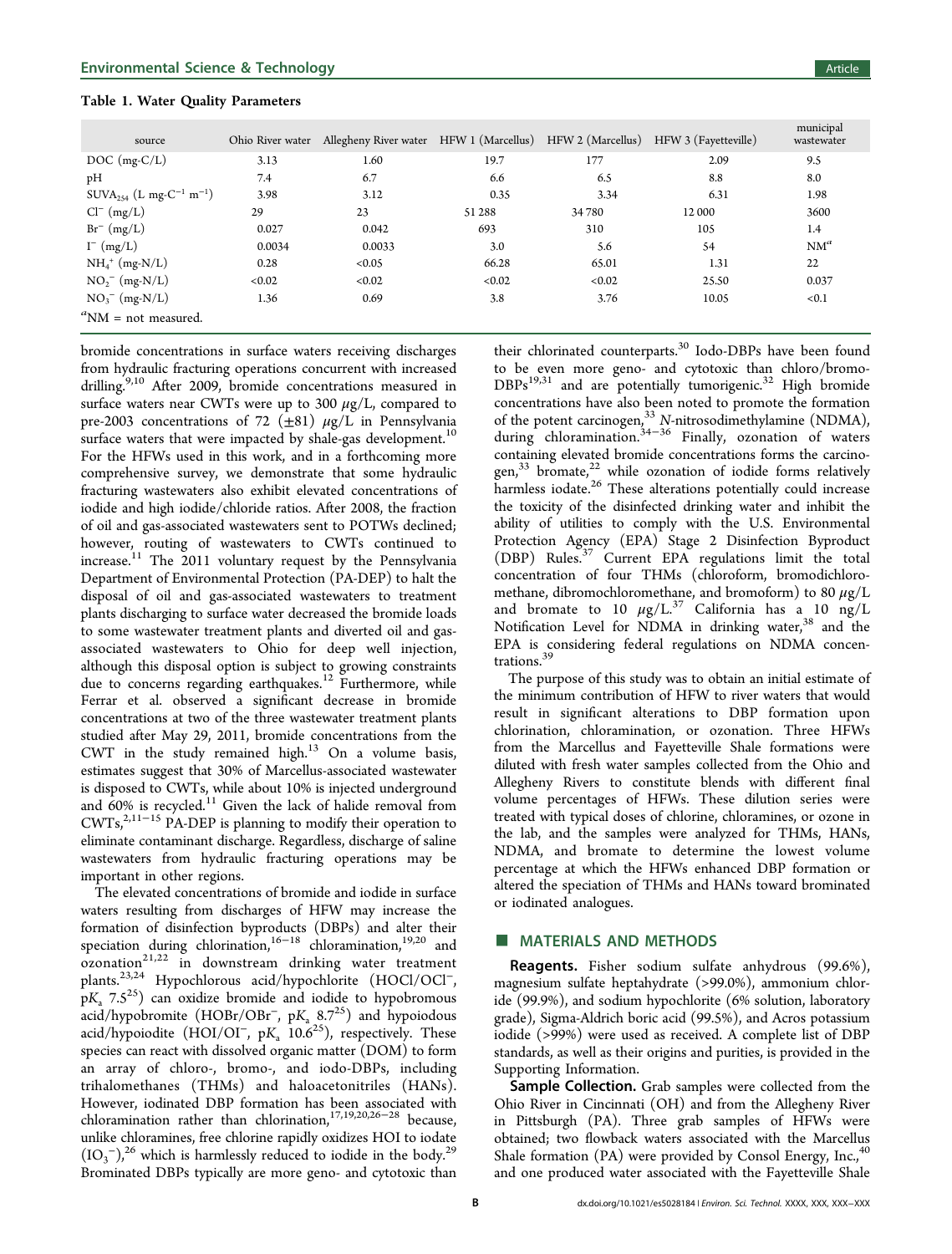<span id="page-1-0"></span>

| source                                                      | Ohio River water | Allegheny River water HFW 1 (Marcellus) HFW 2 (Marcellus) |        |        | HFW 3 (Fayetteville) | municipal<br>wastewater |
|-------------------------------------------------------------|------------------|-----------------------------------------------------------|--------|--------|----------------------|-------------------------|
| $DOC$ (mg- $C/L$ )                                          | 3.13             | 1.60                                                      | 19.7   | 177    | 2.09                 | 9.5                     |
| pH                                                          | 7.4              | 6.7                                                       | 6.6    | 6.5    | 8.8                  | 8.0                     |
| SUVA <sub>254</sub> (L mg-C <sup>-1</sup> m <sup>-1</sup> ) | 3.98             | 3.12                                                      | 0.35   | 3.34   | 6.31                 | 1.98                    |
| $Cl^{-} (mg/L)$                                             | 29               | 23                                                        | 51288  | 34 780 | 12 000               | 3600                    |
| $Br^{-}$ (mg/L)                                             | 0.027            | 0.042                                                     | 693    | 310    | 105                  | 1.4                     |
| $I^-$ (mg/L)                                                | 0.0034           | 0.0033                                                    | 3.0    | 5.6    | 54                   | $NM^a$                  |
| $NH_4^+$ (mg-N/L)                                           | 0.28             | <0.05                                                     | 66.28  | 65.01  | 1.31                 | 22                      |
| $NO_2^-$ (mg-N/L)                                           | < 0.02           | < 0.02                                                    | < 0.02 | < 0.02 | 25.50                | 0.037                   |
| $NO_3^-$ (mg-N/L)                                           | 1.36             | 0.69                                                      | 3.8    | 3.76   | 10.05                | < 0.1                   |
| ${}^a$ NM = not measured.                                   |                  |                                                           |        |        |                      |                         |

bromide concentrations in surface waters receiving discharges from hydraulic fracturing operations concurrent with increased drilling.<sup>[9,10](#page-7-0)</sup> After 2009, bromide concentrations measured in surface waters near CWTs were up to 300  $\mu$ g/L, compared to pre-2003 concentrations of 72 ( $\pm$ 81)  $\mu$ g/L in Pennsylvania surface waters that were impacted by shale-gas development.<sup>[10](#page-7-0)</sup> For the HFWs used in this work, and in a forthcoming more comprehensive survey, we demonstrate that some hydraulic fracturing wastewaters also exhibit elevated concentrations of iodide and high iodide/chloride ratios. After 2008, the fraction of oil and gas-associated wastewaters sent to POTWs declined; however, routing of wastewaters to CWTs continued to increase.<sup>[11](#page-7-0)</sup> The 2011 voluntary request by the Pennsylvania Department of Environmental Protection (PA-DEP) to halt the disposal of oil and gas-associated wastewaters to treatment plants discharging to surface water decreased the bromide loads to some wastewater treatment plants and diverted oil and gasassociated wastewaters to Ohio for deep well injection, although this disposal option is subject to growing constraints due to concerns regarding earthquakes.<sup>[12](#page-7-0)</sup> Furthermore, while Ferrar et al. observed a significant decrease in bromide concentrations at two of the three wastewater treatment plants studied after May 29, 2011, bromide concentrations from the CWT in the study remained high. $^{13}$  $^{13}$  $^{13}$  On a volume basis, estimates suggest that 30% of Marcellus-associated wastewater is disposed to CWTs, while about 10% is injected underground and  $60\%$  is recycled.<sup>[11](#page-7-0)</sup> Given the lack of halide removal from  $CWTs<sub>1</sub><sup>2,11–15</sup>$  $CWTs<sub>1</sub><sup>2,11–15</sup>$  $CWTs<sub>1</sub><sup>2,11–15</sup>$  $CWTs<sub>1</sub><sup>2,11–15</sup>$  $CWTs<sub>1</sub><sup>2,11–15</sup>$  $CWTs<sub>1</sub><sup>2,11–15</sup>$  $CWTs<sub>1</sub><sup>2,11–15</sup>$  PA-DEP is planning to modify their operation to eliminate contaminant discharge. Regardless, discharge of saline wastewaters from hydraulic fracturing operations may be important in other regions.

The elevated concentrations of bromide and iodide in surface waters resulting from discharges of HFW may increase the formation of disinfection byproducts (DBPs) and alter their speciation during chlorination,<sup>[16](#page-7-0)−[18](#page-7-0)</sup> chloramination,<sup>[19,20](#page-7-0)</sup> and  $\alpha$ zonation $^{21,22}$  $^{21,22}$  $^{21,22}$  in downstream drinking water treatment plants.[23,24](#page-7-0) Hypochlorous acid/hypochlorite (HOCl/OCl<sup>−</sup>,  $pK_a$  7.5<sup>[25](#page-7-0)</sup>) can oxidize bromide and iodide to hypobromous acid/hypobromite (HOBr/OBr<sup>-</sup>, pK<sub>a</sub> 8.7<sup>25</sup>) and hypoiodous acid/hypoiodite (HOI/OI<sup>-</sup>, pK<sub>a</sub> 10.6<sup>25</sup>), respectively. These species can react with dissolved organic matter (DOM) to form an array of chloro-, bromo-, and iodo-DBPs, including trihalomethanes (THMs) and haloacetonitriles (HANs). However, iodinated DBP formation has been associated with chloramination rather than chlorination,[17,19](#page-7-0),[20,26](#page-7-0)−[28](#page-7-0) because, unlike chloramines, free chlorine rapidly oxidizes HOI to iodate  $(IO<sub>3</sub><sup>-</sup>)<sup>26</sup>$  $(IO<sub>3</sub><sup>-</sup>)<sup>26</sup>$  $(IO<sub>3</sub><sup>-</sup>)<sup>26</sup>$  which is harmlessly reduced to iodide in the body.<sup>29</sup> Brominated DBPs typically are more geno- and cytotoxic than

their chlorinated counterparts.<sup>[30](#page-7-0)</sup> Iodo-DBPs have been found to be even more geno- and cytotoxic than chloro/bromo- $DBPs<sup>19,31</sup>$  $DBPs<sup>19,31</sup>$  $DBPs<sup>19,31</sup>$  $DBPs<sup>19,31</sup>$  $DBPs<sup>19,31</sup>$  and are potentially tumorigenic.<sup>[32](#page-7-0)</sup> High bromide concentrations have also been noted to promote the formation of the potent carcinogen,<sup>[33](#page-7-0)</sup> N-nitrosodimethylamine (NDMA), during chloramination.[34](#page-8-0)−[36](#page-8-0) Finally, ozonation of waters containing elevated bromide concentrations forms the carcino-gen,<sup>[33](#page-7-0)</sup> bromate,<sup>[22](#page-7-0)</sup> while ozonation of iodide forms relatively harmless iodate.<sup>[26](#page-7-0)</sup> These alterations potentially could increase the toxicity of the disinfected drinking water and inhibit the ability of utilities to comply with the U.S. Environmental Protection Agency (EPA) Stage 2 Disinfection Byproduct (DBP) Rules.[37](#page-8-0) Current EPA regulations limit the total concentration of four THMs (chloroform, bromodichloromethane, dibromochloromethane, and bromoform) to 80  $\mu$ g/L and bromate to 10  $\mu$ g/L.<sup>[37](#page-8-0)</sup> California has a 10 ng/L Notification Level for NDMA in drinking water,<sup>[38](#page-8-0)</sup> and the EPA is considering federal regulations on NDMA concentrations.[39](#page-8-0)

The purpose of this study was to obtain an initial estimate of the minimum contribution of HFW to river waters that would result in significant alterations to DBP formation upon chlorination, chloramination, or ozonation. Three HFWs from the Marcellus and Fayetteville Shale formations were diluted with fresh water samples collected from the Ohio and Allegheny Rivers to constitute blends with different final volume percentages of HFWs. These dilution series were treated with typical doses of chlorine, chloramines, or ozone in the lab, and the samples were analyzed for THMs, HANs, NDMA, and bromate to determine the lowest volume percentage at which the HFWs enhanced DBP formation or altered the speciation of THMs and HANs toward brominated or iodinated analogues.

# **MATERIALS AND METHODS**

Reagents. Fisher sodium sulfate anhydrous (99.6%), magnesium sulfate heptahydrate (>99.0%), ammonium chloride (99.9%), and sodium hypochlorite (6% solution, laboratory grade), Sigma-Aldrich boric acid (99.5%), and Acros potassium iodide (>99%) were used as received. A complete list of DBP standards, as well as their origins and purities, is provided in the [Supporting Information](#page-6-0).

Sample Collection. Grab samples were collected from the Ohio River in Cincinnati (OH) and from the Allegheny River in Pittsburgh (PA). Three grab samples of HFWs were obtained; two flowback waters associated with the Marcellus Shale formation (PA) were provided by Consol Energy, Inc., $4\overline{6}$ and one produced water associated with the Fayetteville Shale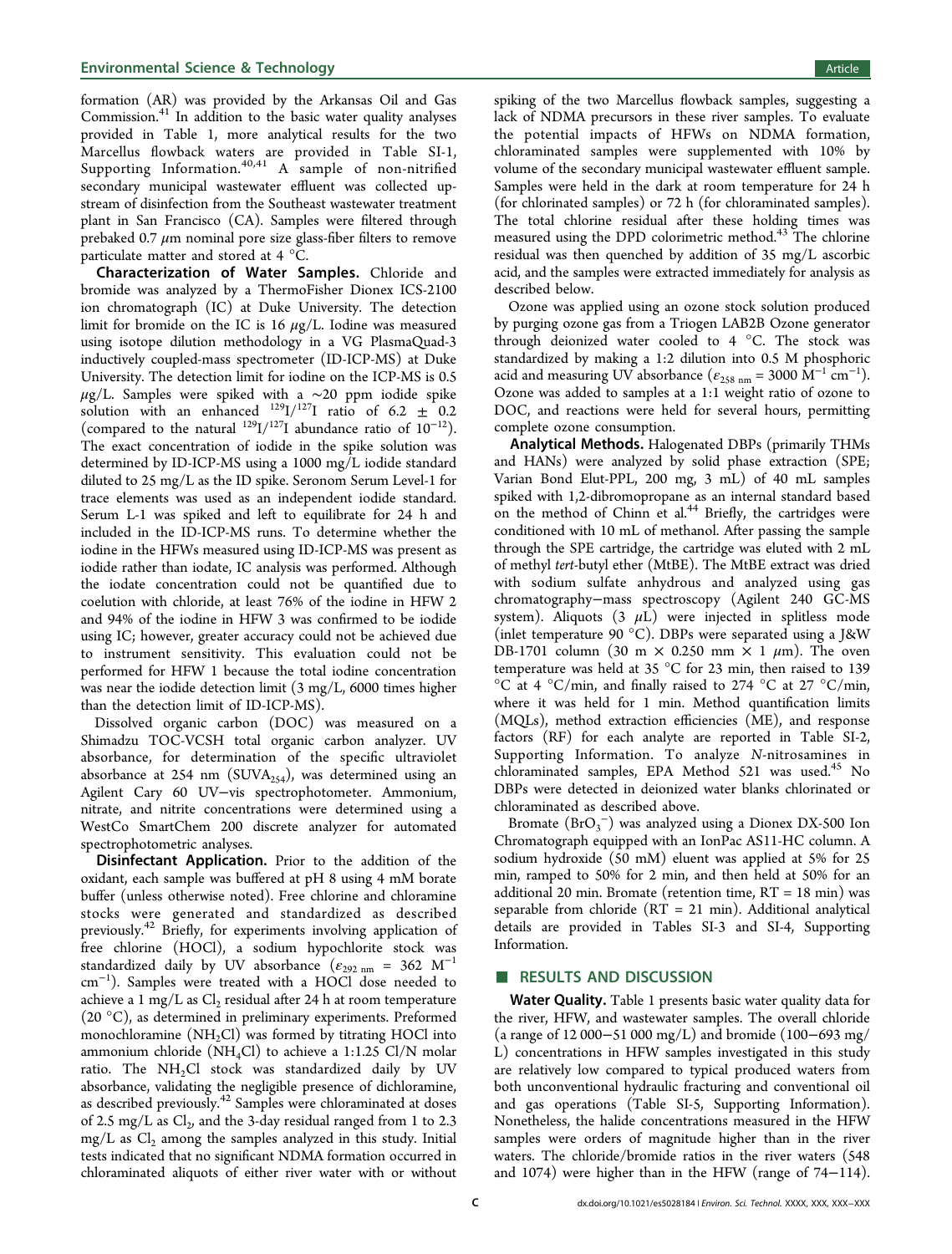formation (AR) was provided by the Arkansas Oil and Gas Commission.[41](#page-8-0) In addition to the basic water quality analyses provided in Table [1,](#page-1-0) more analytical results for the two Marcellus flowback waters are provided in Table SI-1, [Supporting Information.](#page-6-0)[40,41](#page-8-0) A sample of non-nitrified secondary municipal wastewater effluent was collected upstream of disinfection from the Southeast wastewater treatment plant in San Francisco (CA). Samples were filtered through prebaked 0.7  $\mu$ m nominal pore size glass-fiber filters to remove particulate matter and stored at 4 °C.

Characterization of Water Samples. Chloride and bromide was analyzed by a ThermoFisher Dionex ICS-2100 ion chromatograph (IC) at Duke University. The detection limit for bromide on the IC is 16  $\mu$ g/L. Iodine was measured using isotope dilution methodology in a VG PlasmaQuad-3 inductively coupled-mass spectrometer (ID-ICP-MS) at Duke University. The detection limit for iodine on the ICP-MS is 0.5  $\mu$ g/L. Samples were spiked with a ∼20 ppm iodide spike solution with an enhanced  $^{129}I/^{127}I$  ratio of 6.2  $\pm$  0.2 (compared to the natural  $^{129}I/^{127}I$  abundance ratio of  $10^{-12}$ ). The exact concentration of iodide in the spike solution was determined by ID-ICP-MS using a 1000 mg/L iodide standard diluted to 25 mg/L as the ID spike. Seronom Serum Level-1 for trace elements was used as an independent iodide standard. Serum L-1 was spiked and left to equilibrate for 24 h and included in the ID-ICP-MS runs. To determine whether the iodine in the HFWs measured using ID-ICP-MS was present as iodide rather than iodate, IC analysis was performed. Although the iodate concentration could not be quantified due to coelution with chloride, at least 76% of the iodine in HFW 2 and 94% of the iodine in HFW 3 was confirmed to be iodide using IC; however, greater accuracy could not be achieved due to instrument sensitivity. This evaluation could not be performed for HFW 1 because the total iodine concentration was near the iodide detection limit (3 mg/L, 6000 times higher than the detection limit of ID-ICP-MS).

Dissolved organic carbon (DOC) was measured on a Shimadzu TOC-VCSH total organic carbon analyzer. UV absorbance, for determination of the specific ultraviolet absorbance at 254 nm (SUVA<sub>254</sub>), was determined using an Agilent Cary 60 UV−vis spectrophotometer. Ammonium, nitrate, and nitrite concentrations were determined using a WestCo SmartChem 200 discrete analyzer for automated spectrophotometric analyses.

Disinfectant Application. Prior to the addition of the oxidant, each sample was buffered at pH 8 using 4 mM borate buffer (unless otherwise noted). Free chlorine and chloramine stocks were generated and standardized as described previously.[42](#page-8-0) Briefly, for experiments involving application of free chlorine (HOCl), a sodium hypochlorite stock was standardized daily by UV absorbance ( $\epsilon_{292 \text{ nm}} = 362 \text{ M}^{-1}$ cm<sup>−</sup><sup>1</sup> ). Samples were treated with a HOCl dose needed to achieve a 1 mg/L as  $Cl_2$  residual after 24 h at room temperature (20 °C), as determined in preliminary experiments. Preformed monochloramine  $(NH_2Cl)$  was formed by titrating HOCl into ammonium chloride (NH<sub>4</sub>Cl) to achieve a 1:1.25 Cl/N molar ratio. The  $NH<sub>2</sub>Cl$  stock was standardized daily by UV absorbance, validating the negligible presence of dichloramine, as described previously.<sup>[42](#page-8-0)</sup> Samples were chloraminated at doses of 2.5 mg/L as  $Cl_2$ , and the 3-day residual ranged from 1 to 2.3  $mg/L$  as  $Cl<sub>2</sub>$  among the samples analyzed in this study. Initial tests indicated that no significant NDMA formation occurred in chloraminated aliquots of either river water with or without

spiking of the two Marcellus flowback samples, suggesting a lack of NDMA precursors in these river samples. To evaluate the potential impacts of HFWs on NDMA formation, chloraminated samples were supplemented with 10% by volume of the secondary municipal wastewater effluent sample. Samples were held in the dark at room temperature for 24 h (for chlorinated samples) or 72 h (for chloraminated samples). The total chlorine residual after these holding times was measured using the DPD colorimetric method.<sup>[43](#page-8-0)</sup> The chlorine residual was then quenched by addition of 35 mg/L ascorbic acid, and the samples were extracted immediately for analysis as described below.

Ozone was applied using an ozone stock solution produced by purging ozone gas from a Triogen LAB2B Ozone generator through deionized water cooled to 4 °C. The stock was standardized by making a 1:2 dilution into 0.5 M phosphoric acid and measuring UV absorbance ( $\varepsilon_{258\;nm}$  = 3000 M<sup>-1</sup> cm<sup>-1</sup>). Ozone was added to samples at a 1:1 weight ratio of ozone to DOC, and reactions were held for several hours, permitting complete ozone consumption.

Analytical Methods. Halogenated DBPs (primarily THMs and HANs) were analyzed by solid phase extraction (SPE; Varian Bond Elut-PPL, 200 mg, 3 mL) of 40 mL samples spiked with 1,2-dibromopropane as an internal standard based on the method of Chinn et al. $44$  Briefly, the cartridges were conditioned with 10 mL of methanol. After passing the sample through the SPE cartridge, the cartridge was eluted with 2 mL of methyl tert-butyl ether (MtBE). The MtBE extract was dried with sodium sulfate anhydrous and analyzed using gas chromatography−mass spectroscopy (Agilent 240 GC-MS system). Aliquots  $(3 \mu\hat{L})$  were injected in splitless mode (inlet temperature 90 °C). DBPs were separated using a J&W DB-1701 column (30 m  $\times$  0.250 mm  $\times$  1  $\mu$ m). The oven temperature was held at 35  $^{\circ}$ C for 23 min, then raised to 139  $\rm{^{\circ}C}$  at 4  $\rm{^{\circ}C/min}$ , and finally raised to 274  $\rm{^{\circ}C}$  at 27  $\rm{^{\circ}C/min}$ , where it was held for 1 min. Method quantification limits (MQLs), method extraction efficiencies (ME), and response factors (RF) for each analyte are reported in Table SI-2, [Supporting Information](#page-6-0). To analyze N-nitrosamines in chloraminated samples, EPA Method 521 was used.<sup>[45](#page-8-0)</sup> No DBPs were detected in deionized water blanks chlorinated or chloraminated as described above.

Bromate  $(BrO_3^-)$  was analyzed using a Dionex DX-500 Ion Chromatograph equipped with an IonPac AS11-HC column. A sodium hydroxide (50 mM) eluent was applied at 5% for 25 min, ramped to 50% for 2 min, and then held at 50% for an additional 20 min. Bromate (retention time, RT = 18 min) was separable from chloride  $(RT = 21 \text{ min})$ . Additional analytical details are provided in Tables SI-3 and SI-4, [Supporting](#page-6-0) [Information.](#page-6-0)

#### ■ RESULTS AND DISCUSSION

Water Quality. Table [1](#page-1-0) presents basic water quality data for the river, HFW, and wastewater samples. The overall chloride (a range of 12 000−51 000 mg/L) and bromide (100−693 mg/ L) concentrations in HFW samples investigated in this study are relatively low compared to typical produced waters from both unconventional hydraulic fracturing and conventional oil and gas operations (Table SI-5, [Supporting Information\)](#page-6-0). Nonetheless, the halide concentrations measured in the HFW samples were orders of magnitude higher than in the river waters. The chloride/bromide ratios in the river waters (548 and 1074) were higher than in the HFW (range of 74−114).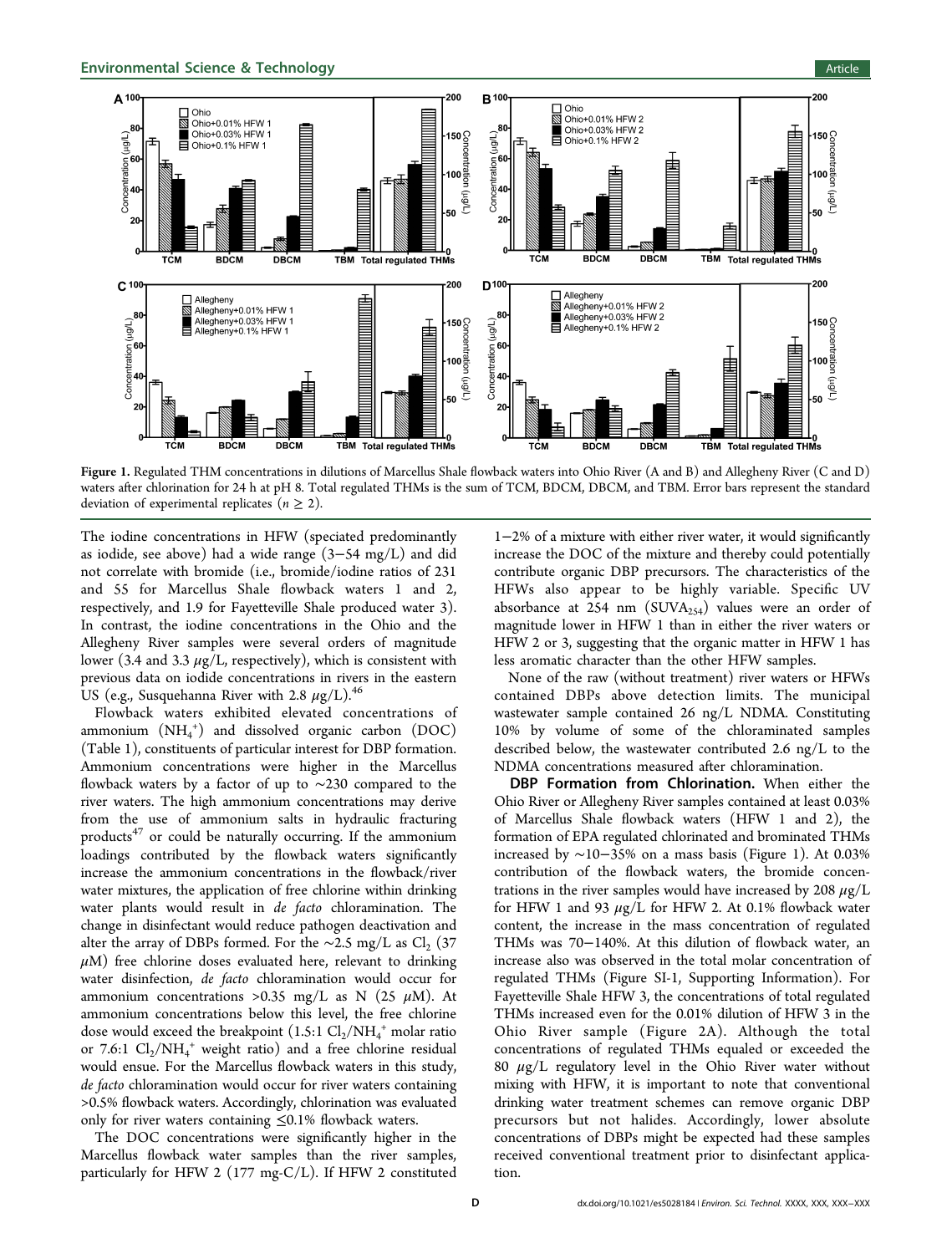<span id="page-3-0"></span>

Figure 1. Regulated THM concentrations in dilutions of Marcellus Shale flowback waters into Ohio River (A and B) and Allegheny River (C and D) waters after chlorination for 24 h at pH 8. Total regulated THMs is the sum of TCM, BDCM, DBCM, and TBM. Error bars represent the standard deviation of experimental replicates ( $n \geq 2$ ).

The iodine concentrations in HFW (speciated predominantly as iodide, see above) had a wide range (3−54 mg/L) and did not correlate with bromide (i.e., bromide/iodine ratios of 231 and 55 for Marcellus Shale flowback waters 1 and 2, respectively, and 1.9 for Fayetteville Shale produced water 3). In contrast, the iodine concentrations in the Ohio and the Allegheny River samples were several orders of magnitude lower (3.4 and 3.3  $\mu$ g/L, respectively), which is consistent with previous data on iodide concentrations in rivers in the eastern US (e.g., Susquehanna River with 2.8  $\mu$ g/L).<sup>[46](#page-8-0)</sup>

Flowback waters exhibited elevated concentrations of ammonium  $(NH_4^+)$  and dissolved organic carbon  $(DOC)$ (Table [1](#page-1-0)), constituents of particular interest for DBP formation. Ammonium concentrations were higher in the Marcellus flowback waters by a factor of up to ∼230 compared to the river waters. The high ammonium concentrations may derive from the use of ammonium salts in hydraulic fracturing products $47$  or could be naturally occurring. If the ammonium loadings contributed by the flowback waters significantly increase the ammonium concentrations in the flowback/river water mixtures, the application of free chlorine within drinking water plants would result in de facto chloramination. The change in disinfectant would reduce pathogen deactivation and alter the array of DBPs formed. For the ∼2.5 mg/L as Cl<sub>2</sub> (37  $\mu$ M) free chlorine doses evaluated here, relevant to drinking water disinfection, de facto chloramination would occur for ammonium concentrations >0.35 mg/L as N (25  $\mu$ M). At ammonium concentrations below this level, the free chlorine dose would exceed the breakpoint  $(1.5:1 \text{ Cl}_2/\text{NH}_4{}^+$  molar ratio or 7.6:1  $Cl_2/NH_4^+$  weight ratio) and a free chlorine residual would ensue. For the Marcellus flowback waters in this study, de facto chloramination would occur for river waters containing >0.5% flowback waters. Accordingly, chlorination was evaluated only for river waters containing ≤0.1% flowback waters.

The DOC concentrations were significantly higher in the Marcellus flowback water samples than the river samples, particularly for HFW 2 (177 mg-C/L). If HFW 2 constituted

1−2% of a mixture with either river water, it would significantly increase the DOC of the mixture and thereby could potentially contribute organic DBP precursors. The characteristics of the HFWs also appear to be highly variable. Specific UV absorbance at 254 nm  $(SUVA_{254})$  values were an order of magnitude lower in HFW 1 than in either the river waters or HFW 2 or 3, suggesting that the organic matter in HFW 1 has less aromatic character than the other HFW samples.

None of the raw (without treatment) river waters or HFWs contained DBPs above detection limits. The municipal wastewater sample contained 26 ng/L NDMA. Constituting 10% by volume of some of the chloraminated samples described below, the wastewater contributed 2.6 ng/L to the NDMA concentrations measured after chloramination.

DBP Formation from Chlorination. When either the Ohio River or Allegheny River samples contained at least 0.03% of Marcellus Shale flowback waters (HFW 1 and 2), the formation of EPA regulated chlorinated and brominated THMs increased by ∼10−35% on a mass basis (Figure 1). At 0.03% contribution of the flowback waters, the bromide concentrations in the river samples would have increased by 208  $\mu$ g/L for HFW 1 and 93  $\mu$ g/L for HFW 2. At 0.1% flowback water content, the increase in the mass concentration of regulated THMs was 70−140%. At this dilution of flowback water, an increase also was observed in the total molar concentration of regulated THMs (Figure SI-1, [Supporting Information\)](#page-6-0). For Fayetteville Shale HFW 3, the concentrations of total regulated THMs increased even for the 0.01% dilution of HFW 3 in the Ohio River sample (Figure [2](#page-4-0)A). Although the total concentrations of regulated THMs equaled or exceeded the 80  $\mu$ g/L regulatory level in the Ohio River water without mixing with HFW, it is important to note that conventional drinking water treatment schemes can remove organic DBP precursors but not halides. Accordingly, lower absolute concentrations of DBPs might be expected had these samples received conventional treatment prior to disinfectant application.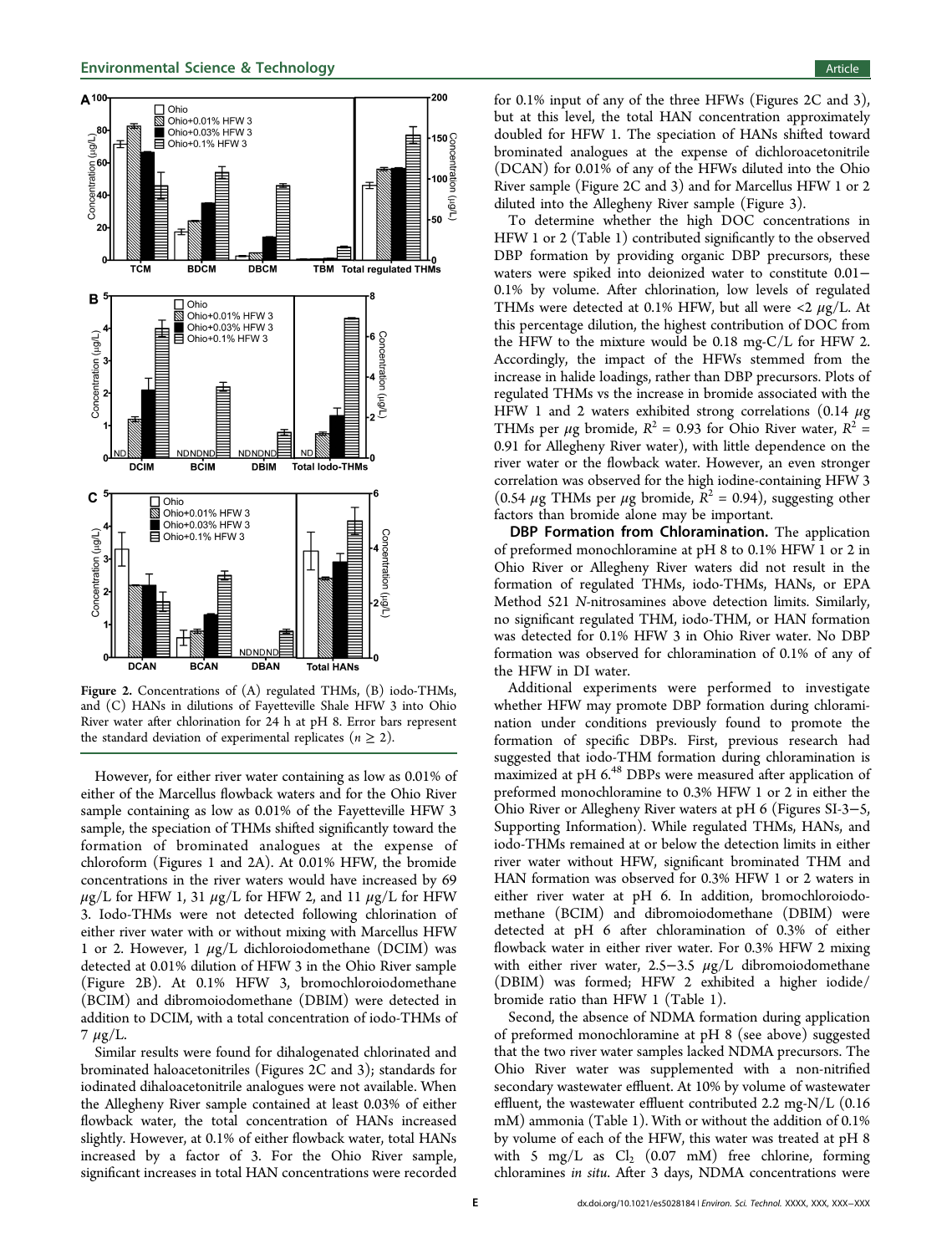# <span id="page-4-0"></span>**Environmental Science & Technology Article** Article and Article and Article and Article and Article and Article



Figure 2. Concentrations of (A) regulated THMs, (B) iodo-THMs, and (C) HANs in dilutions of Fayetteville Shale HFW 3 into Ohio River water after chlorination for 24 h at pH 8. Error bars represent the standard deviation of experimental replicates ( $n \geq 2$ ).

However, for either river water containing as low as 0.01% of either of the Marcellus flowback waters and for the Ohio River sample containing as low as 0.01% of the Fayetteville HFW 3 sample, the speciation of THMs shifted significantly toward the formation of brominated analogues at the expense of chloroform (Figures [1](#page-3-0) and 2A). At 0.01% HFW, the bromide concentrations in the river waters would have increased by 69  $\mu$ g/L for HFW 1, 31  $\mu$ g/L for HFW 2, and 11  $\mu$ g/L for HFW 3. Iodo-THMs were not detected following chlorination of either river water with or without mixing with Marcellus HFW 1 or 2. However, 1  $\mu$ g/L dichloroiodomethane (DCIM) was detected at 0.01% dilution of HFW 3 in the Ohio River sample (Figure 2B). At 0.1% HFW 3, bromochloroiodomethane (BCIM) and dibromoiodomethane (DBIM) were detected in addition to DCIM, with a total concentration of iodo-THMs of  $7 \mu g/L$ .

Similar results were found for dihalogenated chlorinated and brominated haloacetonitriles (Figures 2C and [3\)](#page-5-0); standards for iodinated dihaloacetonitrile analogues were not available. When the Allegheny River sample contained at least 0.03% of either flowback water, the total concentration of HANs increased slightly. However, at 0.1% of either flowback water, total HANs increased by a factor of 3. For the Ohio River sample, significant increases in total HAN concentrations were recorded

diluted into the Allegheny River sample (Figure [3\)](#page-5-0). To determine whether the high DOC concentrations in HFW 1 or 2 (Table [1](#page-1-0)) contributed significantly to the observed DBP formation by providing organic DBP precursors, these waters were spiked into deionized water to constitute 0.01− 0.1% by volume. After chlorination, low levels of regulated THMs were detected at 0.1% HFW, but all were <2  $\mu$ g/L. At this percentage dilution, the highest contribution of DOC from the HFW to the mixture would be 0.18 mg-C/L for HFW 2. Accordingly, the impact of the HFWs stemmed from the increase in halide loadings, rather than DBP precursors. Plots of regulated THMs vs the increase in bromide associated with the HFW 1 and 2 waters exhibited strong correlations (0.14  $\mu$ g THMs per  $\mu$ g bromide,  $R^2 = 0.93$  for Ohio River water,  $R^2 =$ 0.91 for Allegheny River water), with little dependence on the river water or the flowback water. However, an even stronger correlation was observed for the high iodine-containing HFW 3 (0.54  $\mu$ g THMs per  $\mu$ g bromide,  $R^2 = 0.94$ ), suggesting other factors than bromide alone may be important.

(DCAN) for 0.01% of any of the HFWs diluted into the Ohio River sample (Figure 2C and [3\)](#page-5-0) and for Marcellus HFW 1 or 2

DBP Formation from Chloramination. The application of preformed monochloramine at pH 8 to 0.1% HFW 1 or 2 in Ohio River or Allegheny River waters did not result in the formation of regulated THMs, iodo-THMs, HANs, or EPA Method 521 N-nitrosamines above detection limits. Similarly, no significant regulated THM, iodo-THM, or HAN formation was detected for 0.1% HFW 3 in Ohio River water. No DBP formation was observed for chloramination of 0.1% of any of the HFW in DI water.

Additional experiments were performed to investigate whether HFW may promote DBP formation during chloramination under conditions previously found to promote the formation of specific DBPs. First, previous research had suggested that iodo-THM formation during chloramination is maximized at pH 6.<sup>48</sup> DBPs were measured after application of preformed monochloramine to 0.3% HFW 1 or 2 in either the Ohio River or Allegheny River waters at pH 6 (Figures SI-3−5, [Supporting Information\)](#page-6-0). While regulated THMs, HANs, and iodo-THMs remained at or below the detection limits in either river water without HFW, significant brominated THM and HAN formation was observed for 0.3% HFW 1 or 2 waters in either river water at pH 6. In addition, bromochloroiodomethane (BCIM) and dibromoiodomethane (DBIM) were detected at pH 6 after chloramination of 0.3% of either flowback water in either river water. For 0.3% HFW 2 mixing with either river water, 2.5−3.5  $\mu$ g/L dibromoiodomethane (DBIM) was formed; HFW 2 exhibited a higher iodide/ bromide ratio than HFW 1 (Table [1\)](#page-1-0).

Second, the absence of NDMA formation during application of preformed monochloramine at pH 8 (see above) suggested that the two river water samples lacked NDMA precursors. The Ohio River water was supplemented with a non-nitrified secondary wastewater effluent. At 10% by volume of wastewater effluent, the wastewater effluent contributed 2.2 mg-N/L  $(0.16)$ mM) ammonia (Table [1\)](#page-1-0). With or without the addition of 0.1% by volume of each of the HFW, this water was treated at pH 8 with 5 mg/L as  $Cl_2$  (0.07 mM) free chlorine, forming chloramines in situ. After 3 days, NDMA concentrations were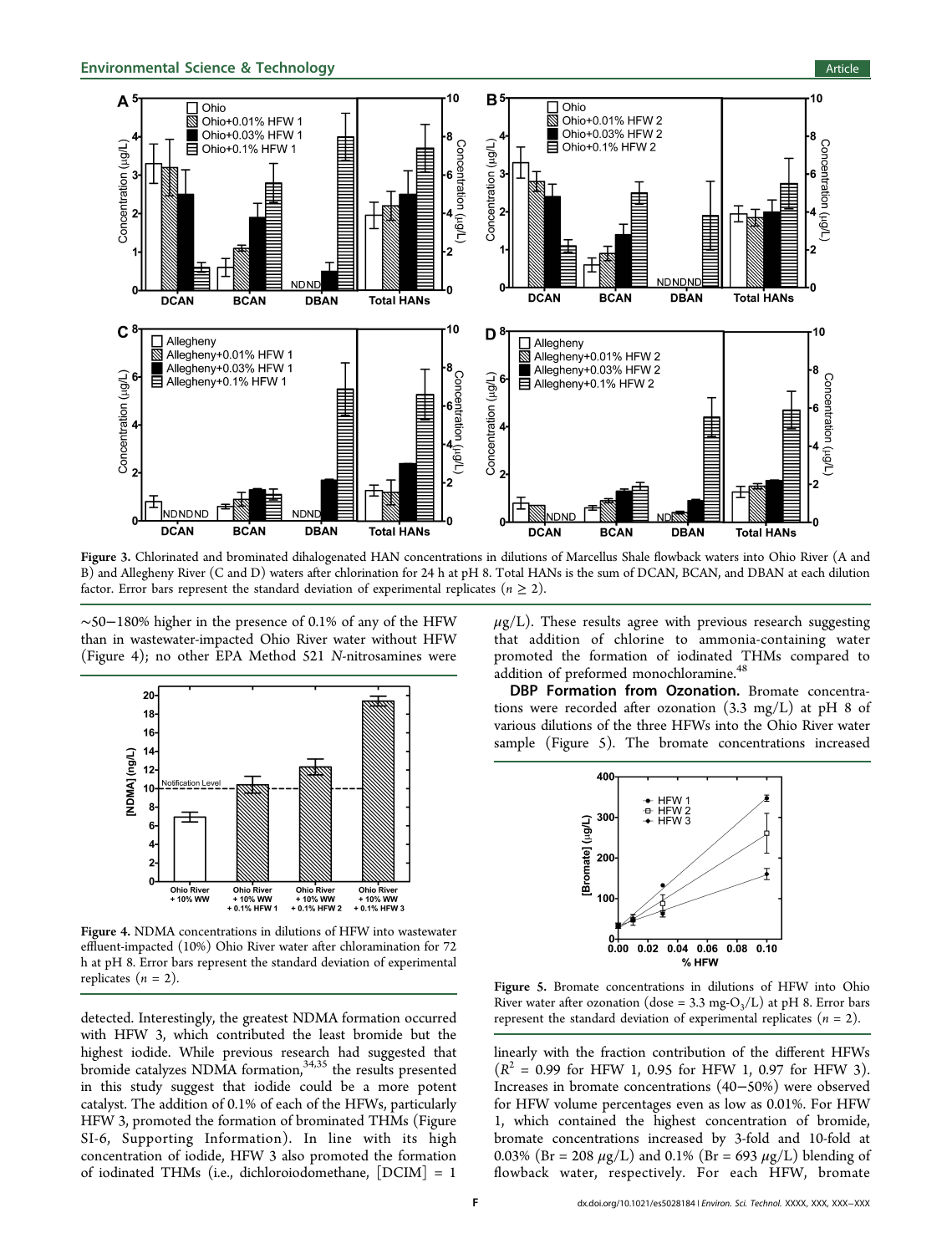<span id="page-5-0"></span>

Figure 3. Chlorinated and brominated dihalogenated HAN concentrations in dilutions of Marcellus Shale flowback waters into Ohio River (A and B) and Allegheny River (C and D) waters after chlorination for 24 h at pH 8. Total HANs is the sum of DCAN, BCAN, and DBAN at each dilution factor. Error bars represent the standard deviation of experimental replicates  $(n \geq 2)$ .

∼50−180% higher in the presence of 0.1% of any of the HFW than in wastewater-impacted Ohio River water without HFW (Figure 4); no other EPA Method 521 N-nitrosamines were



Figure 4. NDMA concentrations in dilutions of HFW into wastewater effluent-impacted (10%) Ohio River water after chloramination for 72 h at pH 8. Error bars represent the standard deviation of experimental replicates ( $n = 2$ ).

detected. Interestingly, the greatest NDMA formation occurred with HFW 3, which contributed the least bromide but the highest iodide. While previous research had suggested that bromide catalyzes NDMA formation,<sup>[34,35](#page-8-0)</sup> the results presented in this study suggest that iodide could be a more potent catalyst. The addition of 0.1% of each of the HFWs, particularly HFW 3, promoted the formation of brominated THMs (Figure SI-6, [Supporting Information](#page-6-0)). In line with its high concentration of iodide, HFW 3 also promoted the formation of iodinated THMs (i.e., dichloroiodomethane, [DCIM] = 1

 $\mu$ g/L). These results agree with previous research suggesting that addition of chlorine to ammonia-containing water promoted the formation of iodinated THMs compared to addition of preformed monochloramine.<sup>[48](#page-8-0)</sup>

DBP Formation from Ozonation. Bromate concentrations were recorded after ozonation (3.3 mg/L) at pH 8 of various dilutions of the three HFWs into the Ohio River water sample (Figure 5). The bromate concentrations increased



Figure 5. Bromate concentrations in dilutions of HFW into Ohio River water after ozonation (dose =  $3.3 \text{ mg-O}_3/L$ ) at pH 8. Error bars represent the standard deviation of experimental replicates  $(n = 2)$ .

linearly with the fraction contribution of the different HFWs  $(R^2 = 0.99$  for HFW 1, 0.95 for HFW 1, 0.97 for HFW 3). Increases in bromate concentrations (40−50%) were observed for HFW volume percentages even as low as 0.01%. For HFW 1, which contained the highest concentration of bromide, bromate concentrations increased by 3-fold and 10-fold at 0.03% (Br = 208  $\mu$ g/L) and 0.1% (Br = 693  $\mu$ g/L) blending of flowback water, respectively. For each HFW, bromate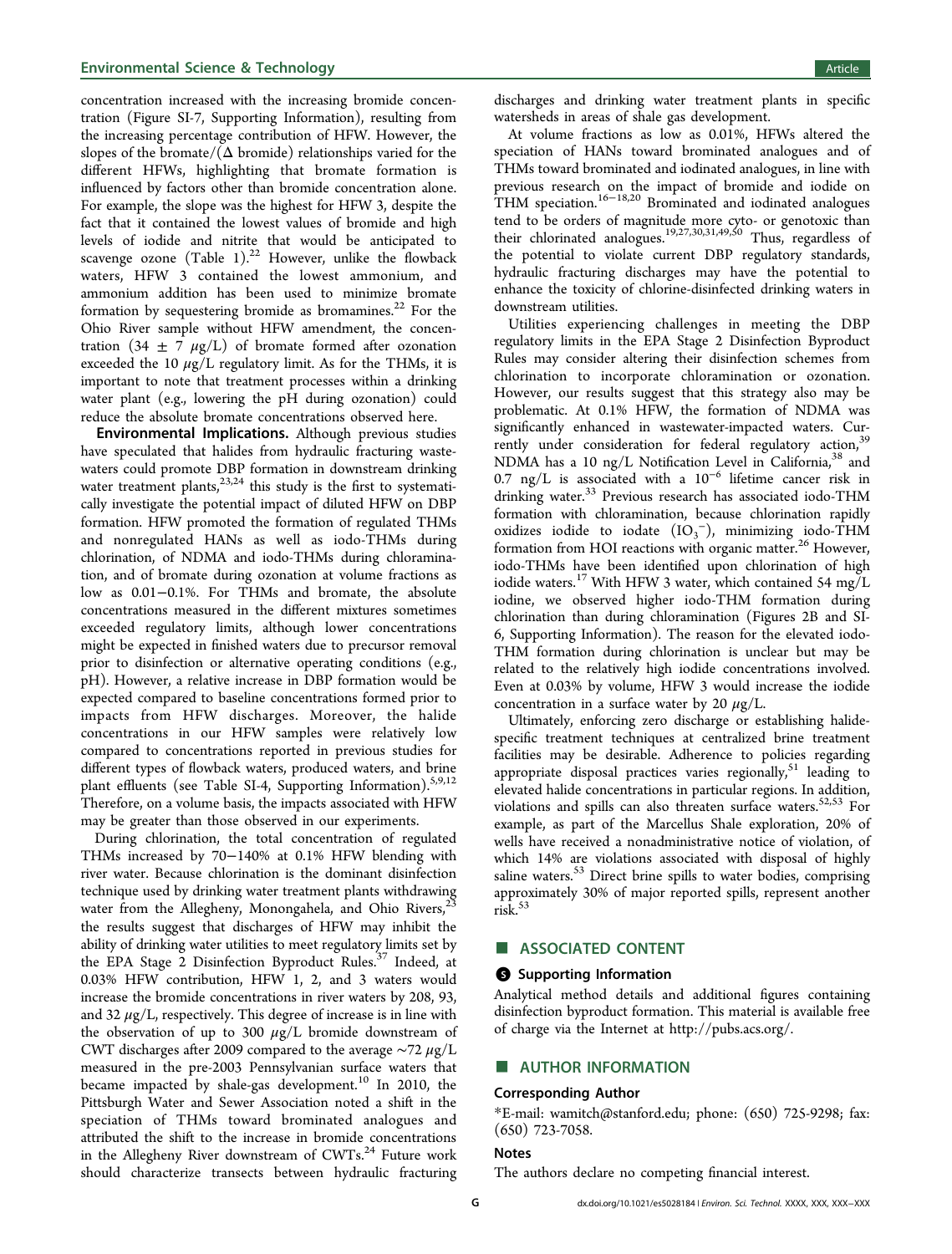<span id="page-6-0"></span>concentration increased with the increasing bromide concentration (Figure SI-7, Supporting Information), resulting from the increasing percentage contribution of HFW. However, the slopes of the bromate/ $(\Delta$  bromide) relationships varied for the different HFWs, highlighting that bromate formation is influenced by factors other than bromide concentration alone. For example, the slope was the highest for HFW 3, despite the fact that it contained the lowest values of bromide and high levels of iodide and nitrite that would be anticipated to scavenge ozone (Table [1](#page-1-0)).<sup>22</sup> However, unlike the flowback waters, HFW 3 contained the lowest ammonium, and ammonium addition has been used to minimize bromate formation by sequestering bromide as bromamines.<sup>[22](#page-7-0)</sup> For the Ohio River sample without HFW amendment, the concentration  $(34 \pm 7 \mu g/L)$  of bromate formed after ozonation exceeded the 10  $\mu$ g/L regulatory limit. As for the THMs, it is important to note that treatment processes within a drinking water plant (e.g., lowering the pH during ozonation) could reduce the absolute bromate concentrations observed here.

Environmental Implications. Although previous studies have speculated that halides from hydraulic fracturing wastewaters could promote DBP formation in downstream drinking water treatment plants,  $23,24$  $23,24$  $23,24$  this study is the first to systematically investigate the potential impact of diluted HFW on DBP formation. HFW promoted the formation of regulated THMs and nonregulated HANs as well as iodo-THMs during chlorination, of NDMA and iodo-THMs during chloramination, and of bromate during ozonation at volume fractions as low as 0.01−0.1%. For THMs and bromate, the absolute concentrations measured in the different mixtures sometimes exceeded regulatory limits, although lower concentrations might be expected in finished waters due to precursor removal prior to disinfection or alternative operating conditions (e.g., pH). However, a relative increase in DBP formation would be expected compared to baseline concentrations formed prior to impacts from HFW discharges. Moreover, the halide concentrations in our HFW samples were relatively low compared to concentrations reported in previous studies for different types of flowback waters, produced waters, and brine plant effluents (see Table SI-4, Supporting Information).<sup>[5,9,12](#page-7-0)</sup> Therefore, on a volume basis, the impacts associated with HFW may be greater than those observed in our experiments.

During chlorination, the total concentration of regulated THMs increased by 70−140% at 0.1% HFW blending with river water. Because chlorination is the dominant disinfection technique used by drinking water treatment plants withdrawing water from the Allegheny, Monongahela, and Ohio Rivers,<sup>[23](#page-7-0)</sup> the results suggest that discharges of HFW may inhibit the ability of drinking water utilities to meet regulatory limits set by the EPA Stage 2 Disinfection Byproduct Rules.<sup>[37](#page-8-0)</sup> Indeed, at 0.03% HFW contribution, HFW 1, 2, and 3 waters would increase the bromide concentrations in river waters by 208, 93, and 32  $\mu$ g/L, respectively. This degree of increase is in line with the observation of up to 300  $\mu$ g/L bromide downstream of CWT discharges after 2009 compared to the average ∼72 μg/L measured in the pre-2003 Pennsylvanian surface waters that became impacted by shale-gas development.<sup>[10](#page-7-0)</sup> In 2010, the Pittsburgh Water and Sewer Association noted a shift in the speciation of THMs toward brominated analogues and attributed the shift to the increase in bromide concentrations in the Allegheny River downstream of  $CWTs$ .<sup>[24](#page-7-0)</sup> Future work should characterize transects between hydraulic fracturing

discharges and drinking water treatment plants in specific watersheds in areas of shale gas development.

At volume fractions as low as 0.01%, HFWs altered the speciation of HANs toward brominated analogues and of THMs toward brominated and iodinated analogues, in line with previous research on the impact of bromide and iodide on THM speciation.<sup>[16](#page-7-0)−[18,20](#page-7-0)</sup> Brominated and iodinated analogues tend to be orders of magnitude more cyto- or genotoxic than their chlorinated analogues.<sup>[19,27](#page-7-0),[30,31](#page-7-0),[49,50](#page-8-0)</sup> Thus, regardless of the potential to violate current DBP regulatory standards, hydraulic fracturing discharges may have the potential to enhance the toxicity of chlorine-disinfected drinking waters in downstream utilities.

Utilities experiencing challenges in meeting the DBP regulatory limits in the EPA Stage 2 Disinfection Byproduct Rules may consider altering their disinfection schemes from chlorination to incorporate chloramination or ozonation. However, our results suggest that this strategy also may be problematic. At 0.1% HFW, the formation of NDMA was significantly enhanced in wastewater-impacted waters. Cur-rently under consideration for federal regulatory action,<sup>[39](#page-8-0)</sup> NDMA has a 10 ng/L Notification Level in California,<sup>[38](#page-8-0)</sup> and 0.7 ng/L is associated with a 10<sup>−</sup><sup>6</sup> lifetime cancer risk in drinking water.<sup>[33](#page-7-0)</sup> Previous research has associated iodo-THM formation with chloramination, because chlorination rapidly oxidizes iodide to iodate  $(IO_3^-)$ , minimizing iodo-THM formation from HOI reactions with organic matter.<sup>[26](#page-7-0)</sup> However, iodo-THMs have been identified upon chlorination of high iodide waters.<sup>[17](#page-7-0)</sup> With HFW 3 water, which contained 54 mg/L iodine, we observed higher iodo-THM formation during chlorination than during chloramination (Figures [2B](#page-4-0) and SI-6, Supporting Information). The reason for the elevated iodo-THM formation during chlorination is unclear but may be related to the relatively high iodide concentrations involved. Even at 0.03% by volume, HFW 3 would increase the iodide concentration in a surface water by 20  $\mu$ g/L.

Ultimately, enforcing zero discharge or establishing halidespecific treatment techniques at centralized brine treatment facilities may be desirable. Adherence to policies regarding appropriate disposal practices varies regionally,  $51$  leading to elevated halide concentrations in particular regions. In addition, violations and spills can also threaten surface waters.<sup>[52,53](#page-8-0)</sup> For example, as part of the Marcellus Shale exploration, 20% of wells have received a nonadministrative notice of violation, of which 14% are violations associated with disposal of highly saline waters.<sup>[53](#page-8-0)</sup> Direct brine spills to water bodies, comprising approximately 30% of major reported spills, represent another  $\overline{\text{risk}}$ <sup>[53](#page-8-0)</sup>

# ■ ASSOCIATED CONTENT

#### **6** Supporting Information

Analytical method details and additional figures containing disinfection byproduct formation. This material is available free of charge via the Internet at [http://pubs.acs.org/.](http://pubs.acs.org/)

#### ■ AUTHOR INFORMATION

#### Corresponding Author

\*E-mail: [wamitch@stanford.edu](mailto:wamitch@stanford.edu); phone: (650) 725-9298; fax: (650) 723-7058.

#### Notes

The authors declare no competing financial interest.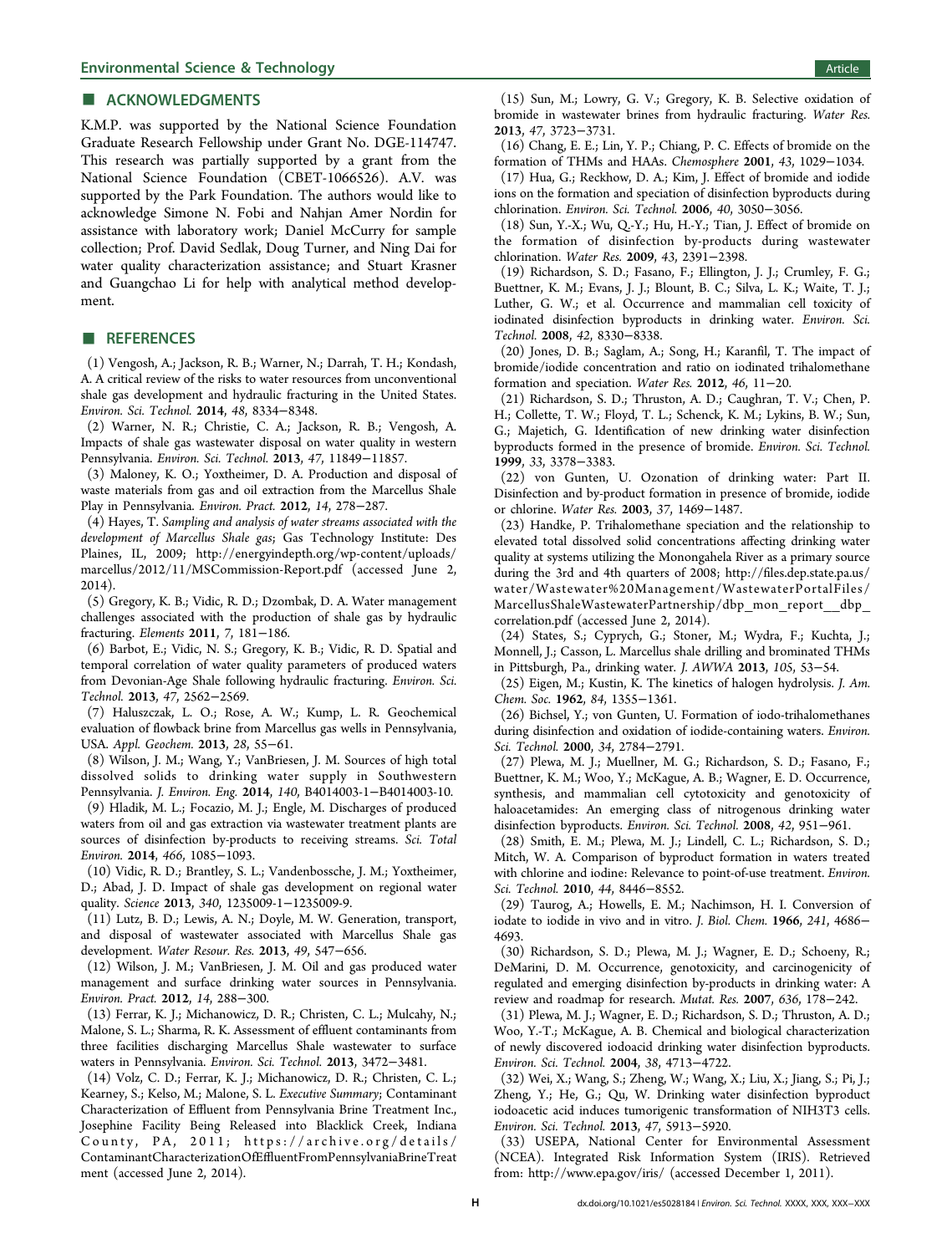#### <span id="page-7-0"></span>■ ACKNOWLEDGMENTS

K.M.P. was supported by the National Science Foundation Graduate Research Fellowship under Grant No. DGE-114747. This research was partially supported by a grant from the National Science Foundation (CBET-1066526). A.V. was supported by the Park Foundation. The authors would like to acknowledge Simone N. Fobi and Nahjan Amer Nordin for assistance with laboratory work; Daniel McCurry for sample collection; Prof. David Sedlak, Doug Turner, and Ning Dai for water quality characterization assistance; and Stuart Krasner and Guangchao Li for help with analytical method development.

### ■ REFERENCES

(1) Vengosh, A.; Jackson, R. B.; Warner, N.; Darrah, T. H.; Kondash, A. A critical review of the risks to water resources from unconventional shale gas development and hydraulic fracturing in the United States. Environ. Sci. Technol. 2014, 48, 8334−8348.

(2) Warner, N. R.; Christie, C. A.; Jackson, R. B.; Vengosh, A. Impacts of shale gas wastewater disposal on water quality in western Pennsylvania. Environ. Sci. Technol. 2013, 47, 11849−11857.

(3) Maloney, K. O.; Yoxtheimer, D. A. Production and disposal of waste materials from gas and oil extraction from the Marcellus Shale Play in Pennsylvania. Environ. Pract. 2012, 14, 278−287.

(4) Hayes, T. Sampling and analysis of water streams associated with the development of Marcellus Shale gas; Gas Technology Institute: Des Plaines, IL, 2009; [http://energyindepth.org/wp-content/uploads/](http://energyindepth.org/wp-content/uploads/marcellus/2012/11/MSCommission-Report.pdf) [marcellus/2012/11/MSCommission-Report.pdf](http://energyindepth.org/wp-content/uploads/marcellus/2012/11/MSCommission-Report.pdf) (accessed June 2, 2014).

(5) Gregory, K. B.; Vidic, R. D.; Dzombak, D. A. Water management challenges associated with the production of shale gas by hydraulic fracturing. Elements 2011, 7, 181−186.

(6) Barbot, E.; Vidic, N. S.; Gregory, K. B.; Vidic, R. D. Spatial and temporal correlation of water quality parameters of produced waters from Devonian-Age Shale following hydraulic fracturing. Environ. Sci. Technol. 2013, 47, 2562−2569.

(7) Haluszczak, L. O.; Rose, A. W.; Kump, L. R. Geochemical evaluation of flowback brine from Marcellus gas wells in Pennsylvania, USA. Appl. Geochem. 2013, 28, 55−61.

(8) Wilson, J. M.; Wang, Y.; VanBriesen, J. M. Sources of high total dissolved solids to drinking water supply in Southwestern Pennsylvania. J. Environ. Eng. 2014, 140, B4014003-1−B4014003-10.

(9) Hladik, M. L.; Focazio, M. J.; Engle, M. Discharges of produced waters from oil and gas extraction via wastewater treatment plants are sources of disinfection by-products to receiving streams. Sci. Total Environ. 2014, 466, 1085−1093.

(10) Vidic, R. D.; Brantley, S. L.; Vandenbossche, J. M.; Yoxtheimer, D.; Abad, J. D. Impact of shale gas development on regional water quality. Science 2013, 340, 1235009-1-1235009-9.

(11) Lutz, B. D.; Lewis, A. N.; Doyle, M. W. Generation, transport, and disposal of wastewater associated with Marcellus Shale gas development. Water Resour. Res. 2013, 49, 547−656.

(12) Wilson, J. M.; VanBriesen, J. M. Oil and gas produced water management and surface drinking water sources in Pennsylvania. Environ. Pract. 2012, 14, 288−300.

(13) Ferrar, K. J.; Michanowicz, D. R.; Christen, C. L.; Mulcahy, N.; Malone, S. L.; Sharma, R. K. Assessment of effluent contaminants from three facilities discharging Marcellus Shale wastewater to surface waters in Pennsylvania. Environ. Sci. Technol. 2013, 3472−3481.

(14) Volz, C. D.; Ferrar, K. J.; Michanowicz, D. R.; Christen, C. L.; Kearney, S.; Kelso, M.; Malone, S. L. Executive Summary; Contaminant Characterization of Effluent from Pennsylvania Brine Treatment Inc., Josephine Facility Being Released into Blacklick Creek, Indiana County, PA, 2011; [https://archive.org/details/](https://archive.org/details/ContaminantCharacterizationOfEffluentFromPennsylvaniaBrineTreatment) ContaminantCharacterizationOfEffl[uentFromPennsylvaniaBrineTreat](https://archive.org/details/ContaminantCharacterizationOfEffluentFromPennsylvaniaBrineTreatment) [ment](https://archive.org/details/ContaminantCharacterizationOfEffluentFromPennsylvaniaBrineTreatment) (accessed June 2, 2014).

(15) Sun, M.; Lowry, G. V.; Gregory, K. B. Selective oxidation of bromide in wastewater brines from hydraulic fracturing. Water Res. 2013, 47, 3723−3731.

(16) Chang, E. E.; Lin, Y. P.; Chiang, P. C. Effects of bromide on the formation of THMs and HAAs. Chemosphere 2001, 43, 1029−1034.

(17) Hua, G.; Reckhow, D. A.; Kim, J. Effect of bromide and iodide ions on the formation and speciation of disinfection byproducts during chlorination. Environ. Sci. Technol. 2006, 40, 3050−3056.

(18) Sun, Y.-X.; Wu, Q.-Y.; Hu, H.-Y.; Tian, J. Effect of bromide on the formation of disinfection by-products during wastewater chlorination. Water Res. 2009, 43, 2391−2398.

(19) Richardson, S. D.; Fasano, F.; Ellington, J. J.; Crumley, F. G.; Buettner, K. M.; Evans, J. J.; Blount, B. C.; Silva, L. K.; Waite, T. J.; Luther, G. W.; et al. Occurrence and mammalian cell toxicity of iodinated disinfection byproducts in drinking water. Environ. Sci. Technol. 2008, 42, 8330−8338.

(20) Jones, D. B.; Saglam, A.; Song, H.; Karanfil, T. The impact of bromide/iodide concentration and ratio on iodinated trihalomethane formation and speciation. Water Res. 2012, 46, 11−20.

(21) Richardson, S. D.; Thruston, A. D.; Caughran, T. V.; Chen, P. H.; Collette, T. W.; Floyd, T. L.; Schenck, K. M.; Lykins, B. W.; Sun, G.; Majetich, G. Identification of new drinking water disinfection byproducts formed in the presence of bromide. Environ. Sci. Technol. 1999, 33, 3378−3383.

(22) von Gunten, U. Ozonation of drinking water: Part II. Disinfection and by-product formation in presence of bromide, iodide or chlorine. Water Res. 2003, 37, 1469−1487.

(23) Handke, P. Trihalomethane speciation and the relationship to elevated total dissolved solid concentrations affecting drinking water quality at systems utilizing the Monongahela River as a primary source during the 3rd and 4th quarters of 2008; http://fi[les.dep.state.pa.us/](http://files.dep.state.pa.us/water/Wastewater%20Management/WastewaterPortalFiles/MarcellusShaleWastewaterPartnership/dbp_mon_report__dbp_correlation.pdf) [water/Wastewater%20Management/WastewaterPortalFiles/](http://files.dep.state.pa.us/water/Wastewater%20Management/WastewaterPortalFiles/MarcellusShaleWastewaterPartnership/dbp_mon_report__dbp_correlation.pdf) [MarcellusShaleWastewaterPartnership/dbp\\_mon\\_report\\_\\_dbp\\_](http://files.dep.state.pa.us/water/Wastewater%20Management/WastewaterPortalFiles/MarcellusShaleWastewaterPartnership/dbp_mon_report__dbp_correlation.pdf) [correlation.pdf](http://files.dep.state.pa.us/water/Wastewater%20Management/WastewaterPortalFiles/MarcellusShaleWastewaterPartnership/dbp_mon_report__dbp_correlation.pdf) (accessed June 2, 2014).

(24) States, S.; Cyprych, G.; Stoner, M.; Wydra, F.; Kuchta, J.; Monnell, J.; Casson, L. Marcellus shale drilling and brominated THMs in Pittsburgh, Pa., drinking water. J. AWWA 2013, 105, 53−54.

(25) Eigen, M.; Kustin, K. The kinetics of halogen hydrolysis. J. Am. Chem. Soc. 1962, 84, 1355−1361.

(26) Bichsel, Y.; von Gunten, U. Formation of iodo-trihalomethanes during disinfection and oxidation of iodide-containing waters. Environ. Sci. Technol. 2000, 34, 2784−2791.

(27) Plewa, M. J.; Muellner, M. G.; Richardson, S. D.; Fasano, F.; Buettner, K. M.; Woo, Y.; McKague, A. B.; Wagner, E. D. Occurrence, synthesis, and mammalian cell cytotoxicity and genotoxicity of haloacetamides: An emerging class of nitrogenous drinking water disinfection byproducts. Environ. Sci. Technol. 2008, 42, 951−961.

(28) Smith, E. M.; Plewa, M. J.; Lindell, C. L.; Richardson, S. D.; Mitch, W. A. Comparison of byproduct formation in waters treated with chlorine and iodine: Relevance to point-of-use treatment. Environ. Sci. Technol. 2010, 44, 8446−8552.

(29) Taurog, A.; Howells, E. M.; Nachimson, H. I. Conversion of iodate to iodide in vivo and in vitro. J. Biol. Chem. 1966, 241, 4686− 4693.

(30) Richardson, S. D.; Plewa, M. J.; Wagner, E. D.; Schoeny, R.; DeMarini, D. M. Occurrence, genotoxicity, and carcinogenicity of regulated and emerging disinfection by-products in drinking water: A review and roadmap for research. Mutat. Res. 2007, 636, 178−242.

(31) Plewa, M. J.; Wagner, E. D.; Richardson, S. D.; Thruston, A. D.; Woo, Y.-T.; McKague, A. B. Chemical and biological characterization of newly discovered iodoacid drinking water disinfection byproducts. Environ. Sci. Technol. 2004, 38, 4713−4722.

(32) Wei, X.; Wang, S.; Zheng, W.; Wang, X.; Liu, X.; Jiang, S.; Pi, J.; Zheng, Y.; He, G.; Qu, W. Drinking water disinfection byproduct iodoacetic acid induces tumorigenic transformation of NIH3T3 cells. Environ. Sci. Technol. 2013, 47, 5913−5920.

(33) USEPA, National Center for Environmental Assessment (NCEA). Integrated Risk Information System (IRIS). Retrieved from:<http://www.epa.gov/iris/> (accessed December 1, 2011).